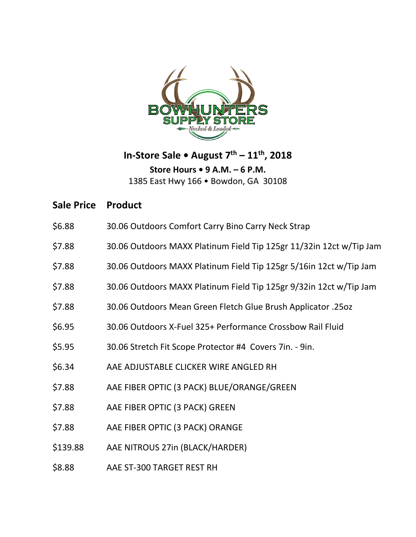

**In-Store Sale • August 7th – 11th, 2018 Store Hours • 9 A.M. – 6 P.M.** 1385 East Hwy 166 • Bowdon, GA 30108

**Sale Price Product**

- \$6.88 30.06 Outdoors Comfort Carry Bino Carry Neck Strap
- \$7.88 30.06 Outdoors MAXX Platinum Field Tip 125gr 11/32in 12ct w/Tip Jam
- \$7.88 30.06 Outdoors MAXX Platinum Field Tip 125gr 5/16in 12ct w/Tip Jam
- \$7.88 30.06 Outdoors MAXX Platinum Field Tip 125gr 9/32in 12ct w/Tip Jam
- \$7.88 30.06 Outdoors Mean Green Fletch Glue Brush Applicator .25oz
- \$6.95 30.06 Outdoors X-Fuel 325+ Performance Crossbow Rail Fluid
- \$5.95 30.06 Stretch Fit Scope Protector #4 Covers 7in. 9in.
- \$6.34 AAE ADJUSTABLE CLICKER WIRE ANGLED RH
- \$7.88 AAE FIBER OPTIC (3 PACK) BLUE/ORANGE/GREEN
- \$7.88 AAE FIBER OPTIC (3 PACK) GREEN
- \$7.88 AAE FIBER OPTIC (3 PACK) ORANGE
- \$139.88 AAE NITROUS 27in (BLACK/HARDER)
- \$8.88 AAE ST-300 TARGET REST RH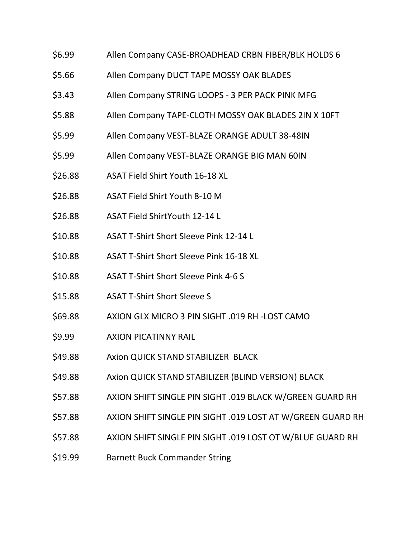- \$6.99 Allen Company CASE-BROADHEAD CRBN FIBER/BLK HOLDS 6
- \$5.66 Allen Company DUCT TAPE MOSSY OAK BLADES
- \$3.43 Allen Company STRING LOOPS 3 PER PACK PINK MFG
- \$5.88 Allen Company TAPE-CLOTH MOSSY OAK BLADES 2IN X 10FT
- \$5.99 Allen Company VEST-BLAZE ORANGE ADULT 38-48IN
- \$5.99 Allen Company VEST-BLAZE ORANGE BIG MAN 60IN
- \$26.88 ASAT Field Shirt Youth 16-18 XL
- \$26.88 ASAT Field Shirt Youth 8-10 M
- \$26.88 ASAT Field ShirtYouth 12-14 L
- \$10.88 ASAT T-Shirt Short Sleeve Pink 12-14 L
- \$10.88 ASAT T-Shirt Short Sleeve Pink 16-18 XL
- \$10.88 ASAT T-Shirt Short Sleeve Pink 4-6 S
- \$15.88 ASAT T-Shirt Short Sleeve S
- \$69.88 AXION GLX MICRO 3 PIN SIGHT .019 RH -LOST CAMO
- \$9.99 AXION PICATINNY RAIL
- \$49.88 Axion QUICK STAND STABILIZER BLACK
- \$49.88 Axion QUICK STAND STABILIZER (BLIND VERSION) BLACK
- \$57.88 AXION SHIFT SINGLE PIN SIGHT .019 BLACK W/GREEN GUARD RH
- \$57.88 AXION SHIFT SINGLE PIN SIGHT .019 LOST AT W/GREEN GUARD RH
- \$57.88 AXION SHIFT SINGLE PIN SIGHT .019 LOST OT W/BLUE GUARD RH
- \$19.99 Barnett Buck Commander String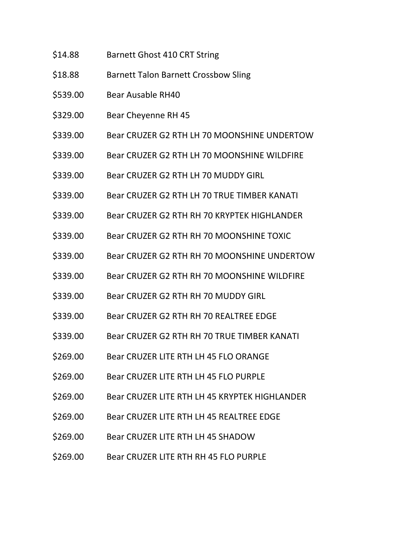- \$14.88 Barnett Ghost 410 CRT String
- \$18.88 Barnett Talon Barnett Crossbow Sling
- \$539.00 Bear Ausable RH40
- \$329.00 Bear Cheyenne RH 45
- \$339.00 Bear CRUZER G2 RTH LH 70 MOONSHINE UNDERTOW
- \$339.00 Bear CRUZER G2 RTH LH 70 MOONSHINE WILDFIRE
- \$339.00 Bear CRUZER G2 RTH LH 70 MUDDY GIRL
- \$339.00 Bear CRUZER G2 RTH LH 70 TRUE TIMBER KANATI
- \$339.00 Bear CRUZER G2 RTH RH 70 KRYPTEK HIGHLANDER
- \$339.00 Bear CRUZER G2 RTH RH 70 MOONSHINE TOXIC
- \$339.00 Bear CRUZER G2 RTH RH 70 MOONSHINE UNDERTOW
- \$339.00 Bear CRUZER G2 RTH RH 70 MOONSHINE WILDFIRE
- \$339.00 Bear CRUZER G2 RTH RH 70 MUDDY GIRL
- \$339.00 Bear CRUZER G2 RTH RH 70 REALTREE EDGE
- \$339.00 Bear CRUZER G2 RTH RH 70 TRUE TIMBER KANATI
- \$269.00 Bear CRUZER LITE RTH LH 45 FLO ORANGE
- \$269.00 Bear CRUZER LITE RTH LH 45 FLO PURPLE
- \$269.00 Bear CRUZER LITE RTH LH 45 KRYPTEK HIGHLANDER
- \$269.00 Bear CRUZER LITE RTH LH 45 REALTREE EDGE
- \$269.00 Bear CRUZER LITE RTH LH 45 SHADOW
- \$269.00 Bear CRUZER LITE RTH RH 45 FLO PURPLE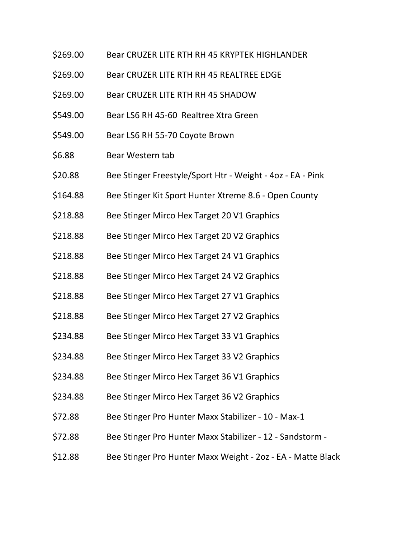- \$269.00 Bear CRUZER LITE RTH RH 45 KRYPTEK HIGHLANDER
- \$269.00 Bear CRUZER LITE RTH RH 45 REALTREE EDGE
- \$269.00 Bear CRUZER LITE RTH RH 45 SHADOW
- \$549.00 Bear LS6 RH 45-60 Realtree Xtra Green
- \$549.00 Bear LS6 RH 55-70 Coyote Brown
- \$6.88 Bear Western tab
- \$20.88 Bee Stinger Freestyle/Sport Htr Weight 4oz EA Pink
- \$164.88 Bee Stinger Kit Sport Hunter Xtreme 8.6 Open County
- \$218.88 Bee Stinger Mirco Hex Target 20 V1 Graphics
- \$218.88 Bee Stinger Mirco Hex Target 20 V2 Graphics
- \$218.88 Bee Stinger Mirco Hex Target 24 V1 Graphics
- \$218.88 Bee Stinger Mirco Hex Target 24 V2 Graphics
- \$218.88 Bee Stinger Mirco Hex Target 27 V1 Graphics
- \$218.88 Bee Stinger Mirco Hex Target 27 V2 Graphics
- \$234.88 Bee Stinger Mirco Hex Target 33 V1 Graphics
- \$234.88 Bee Stinger Mirco Hex Target 33 V2 Graphics
- \$234.88 Bee Stinger Mirco Hex Target 36 V1 Graphics
- \$234.88 Bee Stinger Mirco Hex Target 36 V2 Graphics
- \$72.88 Bee Stinger Pro Hunter Maxx Stabilizer 10 Max-1
- \$72.88 Bee Stinger Pro Hunter Maxx Stabilizer 12 Sandstorm -
- \$12.88 Bee Stinger Pro Hunter Maxx Weight 2oz EA Matte Black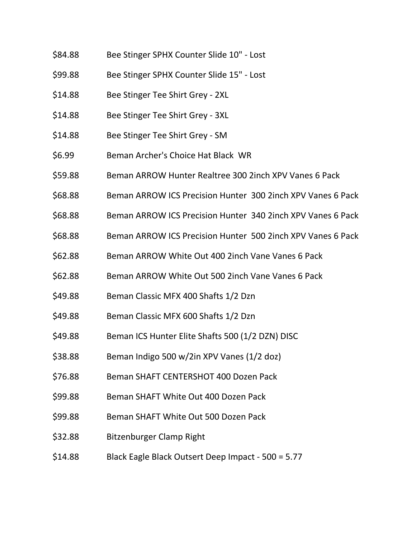- \$84.88 Bee Stinger SPHX Counter Slide 10" Lost
- \$99.88 Bee Stinger SPHX Counter Slide 15" Lost
- \$14.88 Bee Stinger Tee Shirt Grey 2XL
- \$14.88 Bee Stinger Tee Shirt Grey 3XL
- \$14.88 Bee Stinger Tee Shirt Grey SM
- \$6.99 Beman Archer's Choice Hat Black WR
- \$59.88 Beman ARROW Hunter Realtree 300 2inch XPV Vanes 6 Pack
- \$68.88 Beman ARROW ICS Precision Hunter 300 2inch XPV Vanes 6 Pack
- \$68.88 Beman ARROW ICS Precision Hunter 340 2inch XPV Vanes 6 Pack
- \$68.88 Beman ARROW ICS Precision Hunter 500 2inch XPV Vanes 6 Pack
- \$62.88 Beman ARROW White Out 400 2inch Vane Vanes 6 Pack
- \$62.88 Beman ARROW White Out 500 2inch Vane Vanes 6 Pack
- \$49.88 Beman Classic MFX 400 Shafts 1/2 Dzn
- \$49.88 Beman Classic MFX 600 Shafts 1/2 Dzn
- \$49.88 Beman ICS Hunter Elite Shafts 500 (1/2 DZN) DISC
- $$38.88$  Beman Indigo 500 w/2in XPV Vanes (1/2 doz)
- \$76.88 Beman SHAFT CENTERSHOT 400 Dozen Pack
- \$99.88 Beman SHAFT White Out 400 Dozen Pack
- \$99.88 Beman SHAFT White Out 500 Dozen Pack
- \$32.88 Bitzenburger Clamp Right
- \$14.88 Black Eagle Black Outsert Deep Impact 500 = 5.77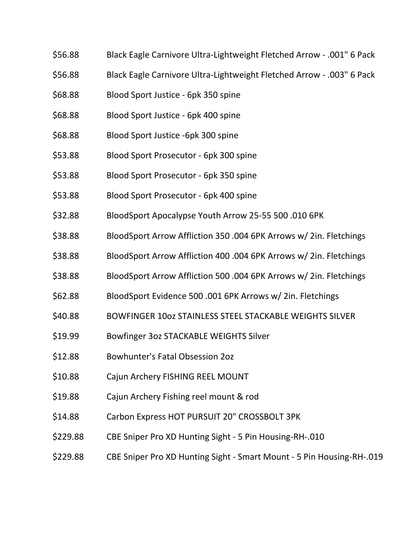- \$56.88 Black Eagle Carnivore Ultra-Lightweight Fletched Arrow .001" 6 Pack
- \$56.88 Black Eagle Carnivore Ultra-Lightweight Fletched Arrow .003" 6 Pack
- \$68.88 Blood Sport Justice 6pk 350 spine
- \$68.88 Blood Sport Justice 6pk 400 spine
- \$68.88 Blood Sport Justice -6pk 300 spine
- \$53.88 Blood Sport Prosecutor 6pk 300 spine
- \$53.88 Blood Sport Prosecutor 6pk 350 spine
- \$53.88 Blood Sport Prosecutor 6pk 400 spine
- \$32.88 BloodSport Apocalypse Youth Arrow 25-55 500 .010 6PK
- \$38.88 BloodSport Arrow Affliction 350 .004 6PK Arrows w/ 2in. Fletchings
- \$38.88 BloodSport Arrow Affliction 400 .004 6PK Arrows w/ 2in. Fletchings
- \$38.88 BloodSport Arrow Affliction 500 .004 6PK Arrows w/ 2in. Fletchings
- \$62.88 BloodSport Evidence 500 .001 6PK Arrows w/ 2in. Fletchings
- \$40.88 BOWFINGER 10oz STAINLESS STEEL STACKABLE WEIGHTS SILVER
- \$19.99 Bowfinger 3oz STACKABLE WEIGHTS Silver
- \$12.88 Bowhunter's Fatal Obsession 2oz
- \$10.88 Cajun Archery FISHING REEL MOUNT
- \$19.88 Cajun Archery Fishing reel mount & rod
- \$14.88 Carbon Express HOT PURSUIT 20" CROSSBOLT 3PK
- \$229.88 CBE Sniper Pro XD Hunting Sight 5 Pin Housing-RH-.010
- \$229.88 CBE Sniper Pro XD Hunting Sight Smart Mount 5 Pin Housing-RH-.019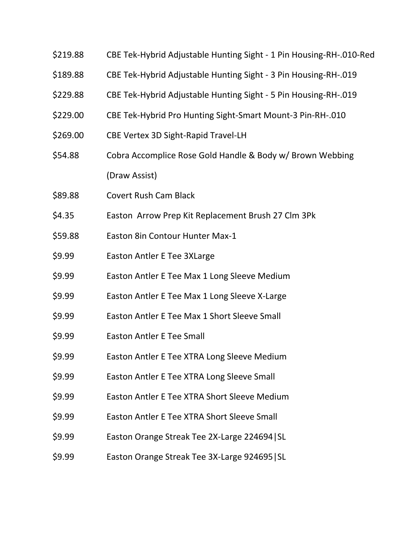- \$219.88 CBE Tek-Hybrid Adjustable Hunting Sight 1 Pin Housing-RH-.010-Red
- \$189.88 CBE Tek-Hybrid Adjustable Hunting Sight 3 Pin Housing-RH-.019
- \$229.88 CBE Tek-Hybrid Adjustable Hunting Sight 5 Pin Housing-RH-.019
- \$229.00 CBE Tek-Hybrid Pro Hunting Sight-Smart Mount-3 Pin-RH-.010
- \$269.00 CBE Vertex 3D Sight-Rapid Travel-LH
- \$54.88 Cobra Accomplice Rose Gold Handle & Body w/ Brown Webbing (Draw Assist)
- \$89.88 Covert Rush Cam Black
- \$4.35 Easton Arrow Prep Kit Replacement Brush 27 Clm 3Pk
- \$59.88 Easton 8in Contour Hunter Max-1
- \$9.99 Easton Antler E Tee 3XLarge
- \$9.99 Easton Antler E Tee Max 1 Long Sleeve Medium
- \$9.99 Easton Antler E Tee Max 1 Long Sleeve X-Large
- \$9.99 Easton Antler E Tee Max 1 Short Sleeve Small
- \$9.99 Easton Antler E Tee Small
- \$9.99 Easton Antler E Tee XTRA Long Sleeve Medium
- \$9.99 Easton Antler E Tee XTRA Long Sleeve Small
- \$9.99 Easton Antler E Tee XTRA Short Sleeve Medium
- \$9.99 Easton Antler E Tee XTRA Short Sleeve Small
- \$9.99 Easton Orange Streak Tee 2X-Large 224694|SL
- \$9.99 Easton Orange Streak Tee 3X-Large 924695|SL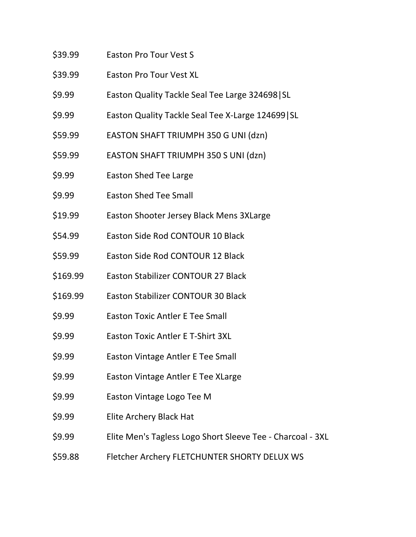\$39.99 Easton Pro Tour Vest S \$39.99 Easton Pro Tour Vest XL \$9.99 Easton Quality Tackle Seal Tee Large 324698|SL \$9.99 Easton Quality Tackle Seal Tee X-Large 124699|SL \$59.99 EASTON SHAFT TRIUMPH 350 G UNI (dzn) \$59.99 EASTON SHAFT TRIUMPH 350 S UNI (dzn) \$9.99 Easton Shed Tee Large \$9.99 Easton Shed Tee Small \$19.99 Easton Shooter Jersey Black Mens 3XLarge \$54.99 Easton Side Rod CONTOUR 10 Black \$59.99 Easton Side Rod CONTOUR 12 Black \$169.99 Easton Stabilizer CONTOUR 27 Black \$169.99 Easton Stabilizer CONTOUR 30 Black \$9.99 Easton Toxic Antler E Tee Small \$9.99 Easton Toxic Antler E T-Shirt 3XL \$9.99 Easton Vintage Antler E Tee Small \$9.99 Easton Vintage Antler E Tee XLarge \$9.99 Easton Vintage Logo Tee M \$9.99 Elite Archery Black Hat \$9.99 Elite Men's Tagless Logo Short Sleeve Tee - Charcoal - 3XL \$59.88 Fletcher Archery FLETCHUNTER SHORTY DELUX WS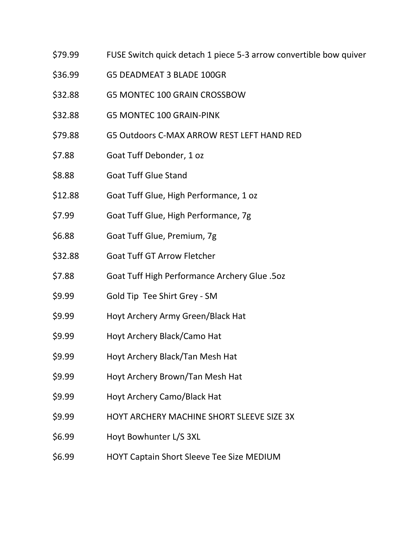- \$79.99 FUSE Switch quick detach 1 piece 5-3 arrow convertible bow quiver
- \$36.99 G5 DEADMEAT 3 BLADE 100GR
- \$32.88 G5 MONTEC 100 GRAIN CROSSBOW
- \$32.88 G5 MONTEC 100 GRAIN-PINK
- \$79.88 G5 Outdoors C-MAX ARROW REST LEFT HAND RED
- \$7.88 Goat Tuff Debonder, 1 oz
- \$8.88 Goat Tuff Glue Stand
- \$12.88 Goat Tuff Glue, High Performance, 1 oz
- \$7.99 Goat Tuff Glue, High Performance, 7g
- \$6.88 Goat Tuff Glue, Premium, 7g
- \$32.88 Goat Tuff GT Arrow Fletcher
- \$7.88 Goat Tuff High Performance Archery Glue .5oz
- \$9.99 Gold Tip Tee Shirt Grey SM
- \$9.99 Hoyt Archery Army Green/Black Hat
- \$9.99 Hoyt Archery Black/Camo Hat
- \$9.99 Hoyt Archery Black/Tan Mesh Hat
- \$9.99 Hoyt Archery Brown/Tan Mesh Hat
- \$9.99 Hoyt Archery Camo/Black Hat
- \$9.99 HOYT ARCHERY MACHINE SHORT SLEEVE SIZE 3X
- \$6.99 Hoyt Bowhunter L/S 3XL
- \$6.99 HOYT Captain Short Sleeve Tee Size MEDIUM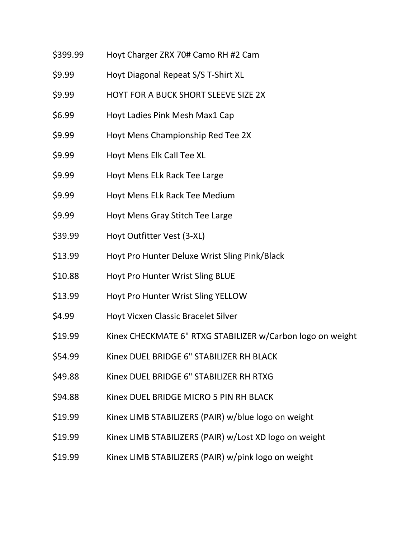\$399.99 Hoyt Charger ZRX 70# Camo RH #2 Cam \$9.99 Hoyt Diagonal Repeat S/S T-Shirt XL \$9.99 HOYT FOR A BUCK SHORT SLEEVE SIZE 2X \$6.99 Hoyt Ladies Pink Mesh Max1 Cap \$9.99 Hoyt Mens Championship Red Tee 2X \$9.99 Hoyt Mens Elk Call Tee XL \$9.99 Hoyt Mens ELk Rack Tee Large \$9.99 Hoyt Mens ELk Rack Tee Medium \$9.99 Hoyt Mens Gray Stitch Tee Large \$39.99 Hoyt Outfitter Vest (3-XL) \$13.99 Hoyt Pro Hunter Deluxe Wrist Sling Pink/Black \$10.88 Hoyt Pro Hunter Wrist Sling BLUE \$13.99 Hoyt Pro Hunter Wrist Sling YELLOW \$4.99 Hoyt Vicxen Classic Bracelet Silver \$19.99 Kinex CHECKMATE 6" RTXG STABILIZER w/Carbon logo on weight \$54.99 Kinex DUEL BRIDGE 6" STABILIZER RH BLACK \$49.88 Kinex DUEL BRIDGE 6" STABILIZER RH RTXG \$94.88 Kinex DUEL BRIDGE MICRO 5 PIN RH BLACK \$19.99 Kinex LIMB STABILIZERS (PAIR) w/blue logo on weight \$19.99 Kinex LIMB STABILIZERS (PAIR) w/Lost XD logo on weight \$19.99 Kinex LIMB STABILIZERS (PAIR) w/pink logo on weight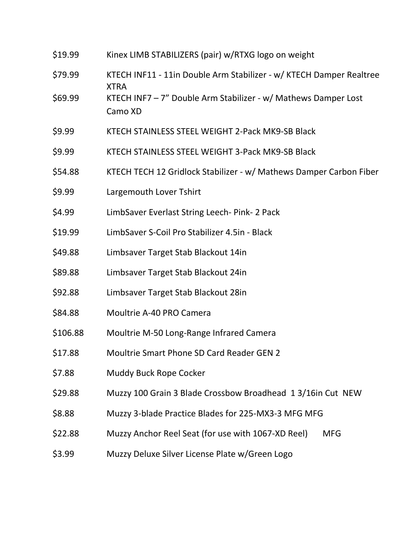| \$19.99  | Kinex LIMB STABILIZERS (pair) w/RTXG logo on weight                                |  |  |
|----------|------------------------------------------------------------------------------------|--|--|
| \$79.99  | KTECH INF11 - 11in Double Arm Stabilizer - w/ KTECH Damper Realtree<br><b>XTRA</b> |  |  |
| \$69.99  | KTECH INF7 - 7" Double Arm Stabilizer - w/ Mathews Damper Lost<br>Camo XD          |  |  |
| \$9.99   | KTECH STAINLESS STEEL WEIGHT 2-Pack MK9-SB Black                                   |  |  |
| \$9.99   | KTECH STAINLESS STEEL WEIGHT 3-Pack MK9-SB Black                                   |  |  |
| \$54.88  | KTECH TECH 12 Gridlock Stabilizer - w/ Mathews Damper Carbon Fiber                 |  |  |
| \$9.99   | Largemouth Lover Tshirt                                                            |  |  |
| \$4.99   | LimbSaver Everlast String Leech- Pink- 2 Pack                                      |  |  |
| \$19.99  | LimbSaver S-Coil Pro Stabilizer 4.5in - Black                                      |  |  |
| \$49.88  | Limbsaver Target Stab Blackout 14in                                                |  |  |
| \$89.88  | Limbsaver Target Stab Blackout 24in                                                |  |  |
| \$92.88  | Limbsaver Target Stab Blackout 28in                                                |  |  |
| \$84.88  | Moultrie A-40 PRO Camera                                                           |  |  |
| \$106.88 | Moultrie M-50 Long-Range Infrared Camera                                           |  |  |
| \$17.88  | <b>Moultrie Smart Phone SD Card Reader GEN 2</b>                                   |  |  |
| \$7.88   | Muddy Buck Rope Cocker                                                             |  |  |
| \$29.88  | Muzzy 100 Grain 3 Blade Crossbow Broadhead 13/16in Cut NEW                         |  |  |
| \$8.88   | Muzzy 3-blade Practice Blades for 225-MX3-3 MFG MFG                                |  |  |
| \$22.88  | Muzzy Anchor Reel Seat (for use with 1067-XD Reel)<br><b>MFG</b>                   |  |  |
| \$3.99   | Muzzy Deluxe Silver License Plate w/Green Logo                                     |  |  |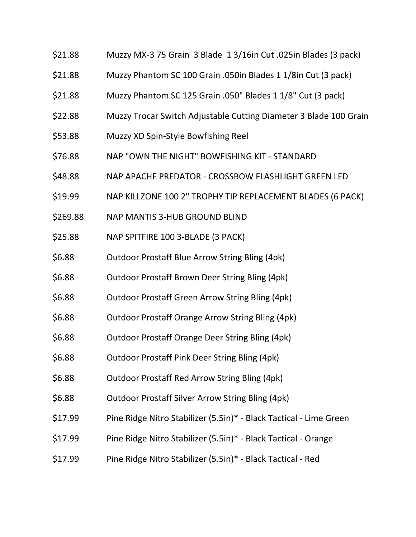- \$21.88 Muzzy MX-3 75 Grain 3 Blade 1 3/16in Cut .025in Blades (3 pack)
- \$21.88 Muzzy Phantom SC 100 Grain .050in Blades 1 1/8in Cut (3 pack)
- \$21.88 Muzzy Phantom SC 125 Grain .050" Blades 1 1/8" Cut (3 pack)
- \$22.88 Muzzy Trocar Switch Adjustable Cutting Diameter 3 Blade 100 Grain
- \$53.88 Muzzy XD Spin-Style Bowfishing Reel
- \$76.88 NAP "OWN THE NIGHT" BOWFISHING KIT STANDARD
- \$48.88 NAP APACHE PREDATOR CROSSBOW FLASHLIGHT GREEN LED
- \$19.99 NAP KILLZONE 100 2" TROPHY TIP REPLACEMENT BLADES (6 PACK)
- \$269.88 NAP MANTIS 3-HUB GROUND BLIND
- \$25.88 NAP SPITFIRE 100 3-BLADE (3 PACK)
- \$6.88 Outdoor Prostaff Blue Arrow String Bling (4pk)
- \$6.88 Outdoor Prostaff Brown Deer String Bling (4pk)
- \$6.88 Outdoor Prostaff Green Arrow String Bling (4pk)
- \$6.88 Outdoor Prostaff Orange Arrow String Bling (4pk)
- \$6.88 Outdoor Prostaff Orange Deer String Bling (4pk)
- \$6.88 Outdoor Prostaff Pink Deer String Bling (4pk)
- \$6.88 Outdoor Prostaff Red Arrow String Bling (4pk)
- \$6.88 Outdoor Prostaff Silver Arrow String Bling (4pk)
- \$17.99 Pine Ridge Nitro Stabilizer (5.5in)\* Black Tactical Lime Green
- \$17.99 Pine Ridge Nitro Stabilizer (5.5in)\* Black Tactical Orange
- \$17.99 Pine Ridge Nitro Stabilizer (5.5in)\* Black Tactical Red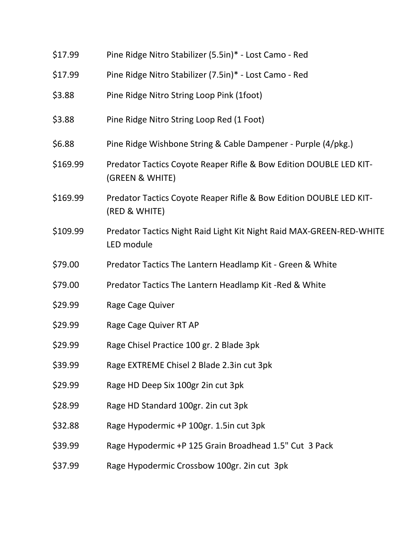| \$17.99  | Pine Ridge Nitro Stabilizer (5.5in)* - Lost Camo - Red                                |  |  |
|----------|---------------------------------------------------------------------------------------|--|--|
| \$17.99  | Pine Ridge Nitro Stabilizer (7.5in)* - Lost Camo - Red                                |  |  |
| \$3.88   | Pine Ridge Nitro String Loop Pink (1foot)                                             |  |  |
| \$3.88   | Pine Ridge Nitro String Loop Red (1 Foot)                                             |  |  |
| \$6.88   | Pine Ridge Wishbone String & Cable Dampener - Purple (4/pkg.)                         |  |  |
| \$169.99 | Predator Tactics Coyote Reaper Rifle & Bow Edition DOUBLE LED KIT-<br>(GREEN & WHITE) |  |  |
| \$169.99 | Predator Tactics Coyote Reaper Rifle & Bow Edition DOUBLE LED KIT-<br>(RED & WHITE)   |  |  |
| \$109.99 | Predator Tactics Night Raid Light Kit Night Raid MAX-GREEN-RED-WHITE<br>LED module    |  |  |
| \$79.00  | Predator Tactics The Lantern Headlamp Kit - Green & White                             |  |  |
| \$79.00  | Predator Tactics The Lantern Headlamp Kit-Red & White                                 |  |  |
| \$29.99  | Rage Cage Quiver                                                                      |  |  |
| \$29.99  | Rage Cage Quiver RT AP                                                                |  |  |
| \$29.99  | Rage Chisel Practice 100 gr. 2 Blade 3pk                                              |  |  |
| \$39.99  | Rage EXTREME Chisel 2 Blade 2.3in cut 3pk                                             |  |  |
| \$29.99  | Rage HD Deep Six 100gr 2in cut 3pk                                                    |  |  |
| \$28.99  | Rage HD Standard 100gr. 2in cut 3pk                                                   |  |  |
| \$32.88  | Rage Hypodermic +P 100gr. 1.5in cut 3pk                                               |  |  |
| \$39.99  | Rage Hypodermic +P 125 Grain Broadhead 1.5" Cut 3 Pack                                |  |  |
| \$37.99  | Rage Hypodermic Crossbow 100gr. 2in cut 3pk                                           |  |  |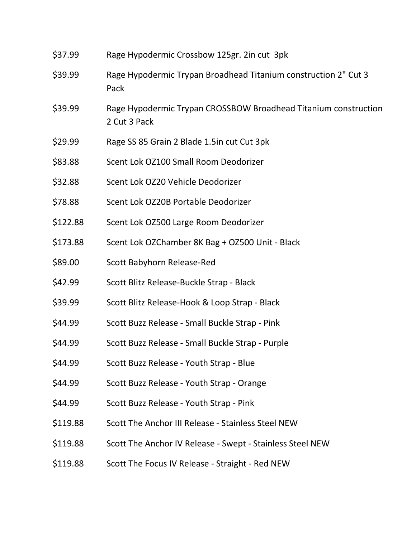| \$37.99  | Rage Hypodermic Crossbow 125gr. 2in cut 3pk                                     |  |
|----------|---------------------------------------------------------------------------------|--|
| \$39.99  | Rage Hypodermic Trypan Broadhead Titanium construction 2" Cut 3<br>Pack         |  |
| \$39.99  | Rage Hypodermic Trypan CROSSBOW Broadhead Titanium construction<br>2 Cut 3 Pack |  |
| \$29.99  | Rage SS 85 Grain 2 Blade 1.5in cut Cut 3pk                                      |  |
| \$83.88  | Scent Lok OZ100 Small Room Deodorizer                                           |  |
| \$32.88  | Scent Lok OZ20 Vehicle Deodorizer                                               |  |
| \$78.88  | Scent Lok OZ20B Portable Deodorizer                                             |  |
| \$122.88 | Scent Lok OZ500 Large Room Deodorizer                                           |  |
| \$173.88 | Scent Lok OZChamber 8K Bag + OZ500 Unit - Black                                 |  |
| \$89.00  | Scott Babyhorn Release-Red                                                      |  |
| \$42.99  | Scott Blitz Release-Buckle Strap - Black                                        |  |
| \$39.99  | Scott Blitz Release-Hook & Loop Strap - Black                                   |  |
| \$44.99  | Scott Buzz Release - Small Buckle Strap - Pink                                  |  |
| \$44.99  | Scott Buzz Release - Small Buckle Strap - Purple                                |  |
| \$44.99  | Scott Buzz Release - Youth Strap - Blue                                         |  |
| \$44.99  | Scott Buzz Release - Youth Strap - Orange                                       |  |
| \$44.99  | Scott Buzz Release - Youth Strap - Pink                                         |  |
| \$119.88 | Scott The Anchor III Release - Stainless Steel NEW                              |  |
| \$119.88 | Scott The Anchor IV Release - Swept - Stainless Steel NEW                       |  |
| \$119.88 | Scott The Focus IV Release - Straight - Red NEW                                 |  |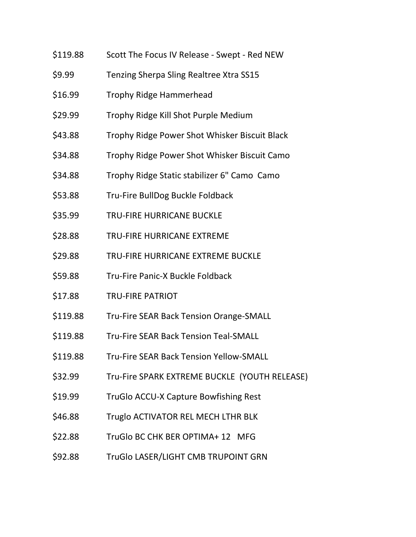- \$119.88 Scott The Focus IV Release Swept Red NEW
- \$9.99 Tenzing Sherpa Sling Realtree Xtra SS15
- \$16.99 Trophy Ridge Hammerhead
- \$29.99 Trophy Ridge Kill Shot Purple Medium
- \$43.88 Trophy Ridge Power Shot Whisker Biscuit Black
- \$34.88 Trophy Ridge Power Shot Whisker Biscuit Camo
- \$34.88 Trophy Ridge Static stabilizer 6" Camo Camo
- \$53.88 Tru-Fire BullDog Buckle Foldback
- \$35.99 TRU-FIRE HURRICANE BUCKLE
- \$28.88 TRU-FIRE HURRICANE EXTREME
- \$29.88 TRU-FIRE HURRICANE EXTREME BUCKLE
- \$59.88 Tru-Fire Panic-X Buckle Foldback
- \$17.88 TRU-FIRE PATRIOT
- \$119.88 Tru-Fire SEAR Back Tension Orange-SMALL
- \$119.88 Tru-Fire SEAR Back Tension Teal-SMALL
- \$119.88 Tru-Fire SEAR Back Tension Yellow-SMALL
- \$32.99 Tru-Fire SPARK EXTREME BUCKLE (YOUTH RELEASE)
- \$19.99 TruGlo ACCU-X Capture Bowfishing Rest
- \$46.88 Truglo ACTIVATOR REL MECH LTHR BLK
- \$22.88 TruGlo BC CHK BER OPTIMA+ 12 MFG
- \$92.88 TruGlo LASER/LIGHT CMB TRUPOINT GRN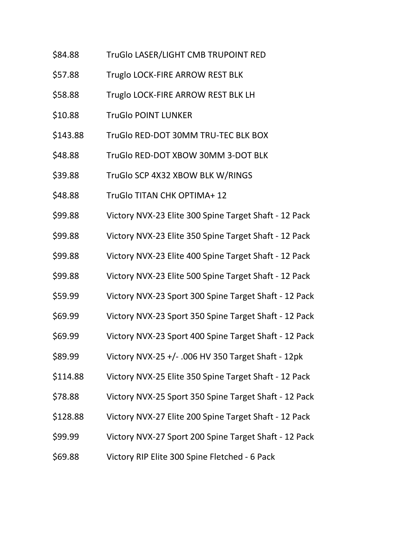- \$84.88 TruGlo LASER/LIGHT CMB TRUPOINT RED
- \$57.88 Truglo LOCK-FIRE ARROW REST BLK
- \$58.88 Truglo LOCK-FIRE ARROW REST BLK LH
- \$10.88 TruGlo POINT LUNKER
- \$143.88 TruGlo RED-DOT 30MM TRU-TEC BLK BOX
- \$48.88 TruGlo RED-DOT XBOW 30MM 3-DOT BLK
- \$39.88 TruGlo SCP 4X32 XBOW BLK W/RINGS
- \$48.88 TruGlo TITAN CHK OPTIMA+ 12
- \$99.88 Victory NVX-23 Elite 300 Spine Target Shaft 12 Pack
- \$99.88 Victory NVX-23 Elite 350 Spine Target Shaft 12 Pack
- \$99.88 Victory NVX-23 Elite 400 Spine Target Shaft 12 Pack
- \$99.88 Victory NVX-23 Elite 500 Spine Target Shaft 12 Pack
- \$59.99 Victory NVX-23 Sport 300 Spine Target Shaft 12 Pack
- \$69.99 Victory NVX-23 Sport 350 Spine Target Shaft 12 Pack
- \$69.99 Victory NVX-23 Sport 400 Spine Target Shaft 12 Pack
- \$89.99 Victory NVX-25 +/- .006 HV 350 Target Shaft 12pk
- \$114.88 Victory NVX-25 Elite 350 Spine Target Shaft 12 Pack
- \$78.88 Victory NVX-25 Sport 350 Spine Target Shaft 12 Pack
- \$128.88 Victory NVX-27 Elite 200 Spine Target Shaft 12 Pack
- \$99.99 Victory NVX-27 Sport 200 Spine Target Shaft 12 Pack
- \$69.88 Victory RIP Elite 300 Spine Fletched 6 Pack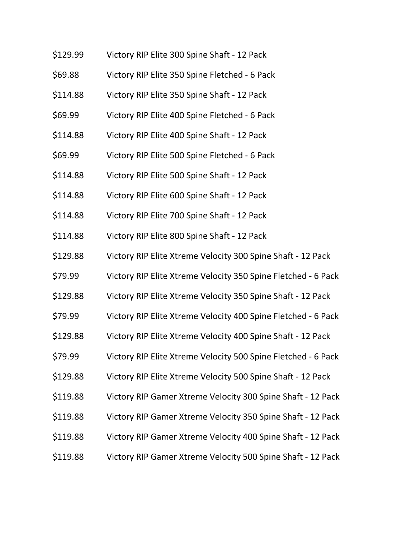- \$129.99 Victory RIP Elite 300 Spine Shaft 12 Pack
- \$69.88 Victory RIP Elite 350 Spine Fletched 6 Pack
- \$114.88 Victory RIP Elite 350 Spine Shaft 12 Pack
- \$69.99 Victory RIP Elite 400 Spine Fletched 6 Pack
- \$114.88 Victory RIP Elite 400 Spine Shaft 12 Pack
- \$69.99 Victory RIP Elite 500 Spine Fletched 6 Pack
- \$114.88 Victory RIP Elite 500 Spine Shaft 12 Pack
- \$114.88 Victory RIP Elite 600 Spine Shaft 12 Pack
- \$114.88 Victory RIP Elite 700 Spine Shaft 12 Pack
- \$114.88 Victory RIP Elite 800 Spine Shaft 12 Pack
- \$129.88 Victory RIP Elite Xtreme Velocity 300 Spine Shaft 12 Pack
- \$79.99 Victory RIP Elite Xtreme Velocity 350 Spine Fletched 6 Pack
- \$129.88 Victory RIP Elite Xtreme Velocity 350 Spine Shaft 12 Pack
- \$79.99 Victory RIP Elite Xtreme Velocity 400 Spine Fletched 6 Pack
- \$129.88 Victory RIP Elite Xtreme Velocity 400 Spine Shaft 12 Pack
- \$79.99 Victory RIP Elite Xtreme Velocity 500 Spine Fletched 6 Pack
- \$129.88 Victory RIP Elite Xtreme Velocity 500 Spine Shaft 12 Pack
- \$119.88 Victory RIP Gamer Xtreme Velocity 300 Spine Shaft 12 Pack
- \$119.88 Victory RIP Gamer Xtreme Velocity 350 Spine Shaft 12 Pack
- \$119.88 Victory RIP Gamer Xtreme Velocity 400 Spine Shaft 12 Pack
- \$119.88 Victory RIP Gamer Xtreme Velocity 500 Spine Shaft 12 Pack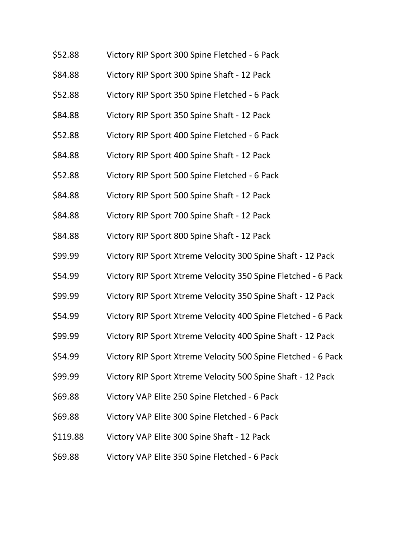- \$52.88 Victory RIP Sport 300 Spine Fletched 6 Pack
- \$84.88 Victory RIP Sport 300 Spine Shaft 12 Pack
- \$52.88 Victory RIP Sport 350 Spine Fletched 6 Pack
- \$84.88 Victory RIP Sport 350 Spine Shaft 12 Pack
- \$52.88 Victory RIP Sport 400 Spine Fletched 6 Pack
- \$84.88 Victory RIP Sport 400 Spine Shaft 12 Pack
- \$52.88 Victory RIP Sport 500 Spine Fletched 6 Pack
- \$84.88 Victory RIP Sport 500 Spine Shaft 12 Pack
- \$84.88 Victory RIP Sport 700 Spine Shaft 12 Pack
- \$84.88 Victory RIP Sport 800 Spine Shaft 12 Pack
- \$99.99 Victory RIP Sport Xtreme Velocity 300 Spine Shaft 12 Pack
- \$54.99 Victory RIP Sport Xtreme Velocity 350 Spine Fletched 6 Pack
- \$99.99 Victory RIP Sport Xtreme Velocity 350 Spine Shaft 12 Pack
- \$54.99 Victory RIP Sport Xtreme Velocity 400 Spine Fletched 6 Pack
- \$99.99 Victory RIP Sport Xtreme Velocity 400 Spine Shaft 12 Pack
- \$54.99 Victory RIP Sport Xtreme Velocity 500 Spine Fletched 6 Pack
- \$99.99 Victory RIP Sport Xtreme Velocity 500 Spine Shaft 12 Pack
- \$69.88 Victory VAP Elite 250 Spine Fletched 6 Pack
- \$69.88 Victory VAP Elite 300 Spine Fletched 6 Pack
- \$119.88 Victory VAP Elite 300 Spine Shaft 12 Pack
- \$69.88 Victory VAP Elite 350 Spine Fletched 6 Pack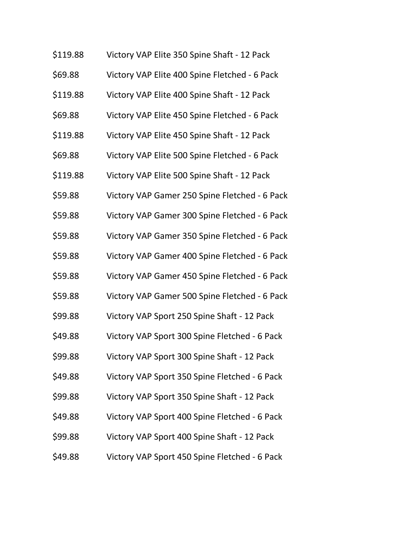| \$119.88 | Victory VAP Elite 350 Spine Shaft - 12 Pack   |
|----------|-----------------------------------------------|
| \$69.88  | Victory VAP Elite 400 Spine Fletched - 6 Pack |
| \$119.88 | Victory VAP Elite 400 Spine Shaft - 12 Pack   |
| \$69.88  | Victory VAP Elite 450 Spine Fletched - 6 Pack |
| \$119.88 | Victory VAP Elite 450 Spine Shaft - 12 Pack   |
| \$69.88  | Victory VAP Elite 500 Spine Fletched - 6 Pack |
| \$119.88 | Victory VAP Elite 500 Spine Shaft - 12 Pack   |
| \$59.88  | Victory VAP Gamer 250 Spine Fletched - 6 Pack |
| \$59.88  | Victory VAP Gamer 300 Spine Fletched - 6 Pack |
| \$59.88  | Victory VAP Gamer 350 Spine Fletched - 6 Pack |
| \$59.88  | Victory VAP Gamer 400 Spine Fletched - 6 Pack |
| \$59.88  | Victory VAP Gamer 450 Spine Fletched - 6 Pack |
| \$59.88  | Victory VAP Gamer 500 Spine Fletched - 6 Pack |
| \$99.88  | Victory VAP Sport 250 Spine Shaft - 12 Pack   |
| \$49.88  | Victory VAP Sport 300 Spine Fletched - 6 Pack |
| \$99.88  | Victory VAP Sport 300 Spine Shaft - 12 Pack   |
| \$49.88  | Victory VAP Sport 350 Spine Fletched - 6 Pack |
| \$99.88  | Victory VAP Sport 350 Spine Shaft - 12 Pack   |
| \$49.88  | Victory VAP Sport 400 Spine Fletched - 6 Pack |
| \$99.88  | Victory VAP Sport 400 Spine Shaft - 12 Pack   |
| \$49.88  | Victory VAP Sport 450 Spine Fletched - 6 Pack |
|          |                                               |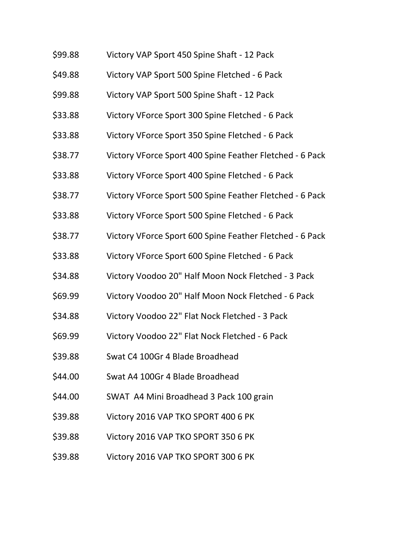- \$99.88 Victory VAP Sport 450 Spine Shaft 12 Pack
- \$49.88 Victory VAP Sport 500 Spine Fletched 6 Pack
- \$99.88 Victory VAP Sport 500 Spine Shaft 12 Pack
- \$33.88 Victory VForce Sport 300 Spine Fletched 6 Pack
- \$33.88 Victory VForce Sport 350 Spine Fletched 6 Pack
- \$38.77 Victory VForce Sport 400 Spine Feather Fletched 6 Pack
- \$33.88 Victory VForce Sport 400 Spine Fletched 6 Pack
- \$38.77 Victory VForce Sport 500 Spine Feather Fletched 6 Pack
- \$33.88 Victory VForce Sport 500 Spine Fletched 6 Pack
- \$38.77 Victory VForce Sport 600 Spine Feather Fletched 6 Pack
- \$33.88 Victory VForce Sport 600 Spine Fletched 6 Pack
- \$34.88 Victory Voodoo 20" Half Moon Nock Fletched 3 Pack
- \$69.99 Victory Voodoo 20" Half Moon Nock Fletched 6 Pack
- \$34.88 Victory Voodoo 22" Flat Nock Fletched 3 Pack
- \$69.99 Victory Voodoo 22" Flat Nock Fletched 6 Pack
- \$39.88 Swat C4 100Gr 4 Blade Broadhead
- \$44.00 Swat A4 100Gr 4 Blade Broadhead
- \$44.00 SWAT A4 Mini Broadhead 3 Pack 100 grain
- \$39.88 Victory 2016 VAP TKO SPORT 400 6 PK
- \$39.88 Victory 2016 VAP TKO SPORT 350 6 PK
- \$39.88 Victory 2016 VAP TKO SPORT 300 6 PK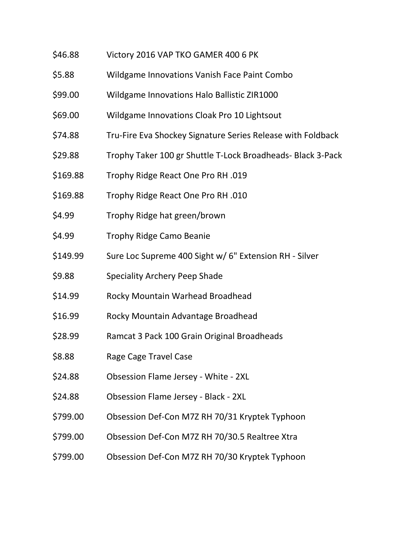- \$46.88 Victory 2016 VAP TKO GAMER 400 6 PK
- \$5.88 Wildgame Innovations Vanish Face Paint Combo
- \$99.00 Wildgame Innovations Halo Ballistic ZIR1000
- \$69.00 Wildgame Innovations Cloak Pro 10 Lightsout
- \$74.88 Tru-Fire Eva Shockey Signature Series Release with Foldback
- \$29.88 Trophy Taker 100 gr Shuttle T-Lock Broadheads- Black 3-Pack
- \$169.88 Trophy Ridge React One Pro RH .019
- \$169.88 Trophy Ridge React One Pro RH .010
- \$4.99 Trophy Ridge hat green/brown
- \$4.99 Trophy Ridge Camo Beanie
- \$149.99 Sure Loc Supreme 400 Sight w/ 6" Extension RH Silver
- \$9.88 Speciality Archery Peep Shade
- \$14.99 Rocky Mountain Warhead Broadhead
- \$16.99 Rocky Mountain Advantage Broadhead
- \$28.99 Ramcat 3 Pack 100 Grain Original Broadheads
- \$8.88 Rage Cage Travel Case
- \$24.88 Obsession Flame Jersey White 2XL
- \$24.88 Obsession Flame Jersey Black 2XL
- \$799.00 Obsession Def-Con M7Z RH 70/31 Kryptek Typhoon
- \$799.00 Obsession Def-Con M7Z RH 70/30.5 Realtree Xtra
- \$799.00 Obsession Def-Con M7Z RH 70/30 Kryptek Typhoon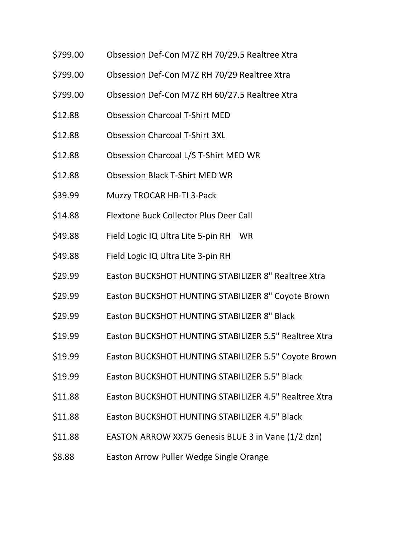- \$799.00 Obsession Def-Con M7Z RH 70/29.5 Realtree Xtra
- \$799.00 Obsession Def-Con M7Z RH 70/29 Realtree Xtra
- \$799.00 Obsession Def-Con M7Z RH 60/27.5 Realtree Xtra
- \$12.88 Obsession Charcoal T-Shirt MED
- \$12.88 Obsession Charcoal T-Shirt 3XL
- \$12.88 Obsession Charcoal L/S T-Shirt MED WR
- \$12.88 Obsession Black T-Shirt MED WR
- \$39.99 Muzzy TROCAR HB-TI 3-Pack
- \$14.88 Flextone Buck Collector Plus Deer Call
- \$49.88 Field Logic IQ Ultra Lite 5-pin RH WR
- \$49.88 Field Logic IQ Ultra Lite 3-pin RH
- \$29.99 Easton BUCKSHOT HUNTING STABILIZER 8" Realtree Xtra
- \$29.99 Easton BUCKSHOT HUNTING STABILIZER 8" Coyote Brown
- \$29.99 Easton BUCKSHOT HUNTING STABILIZER 8" Black
- \$19.99 Easton BUCKSHOT HUNTING STABILIZER 5.5" Realtree Xtra
- \$19.99 Easton BUCKSHOT HUNTING STABILIZER 5.5" Coyote Brown
- \$19.99 Easton BUCKSHOT HUNTING STABILIZER 5.5" Black
- \$11.88 Easton BUCKSHOT HUNTING STABILIZER 4.5" Realtree Xtra
- \$11.88 Easton BUCKSHOT HUNTING STABILIZER 4.5" Black
- \$11.88 EASTON ARROW XX75 Genesis BLUE 3 in Vane (1/2 dzn)
- \$8.88 Easton Arrow Puller Wedge Single Orange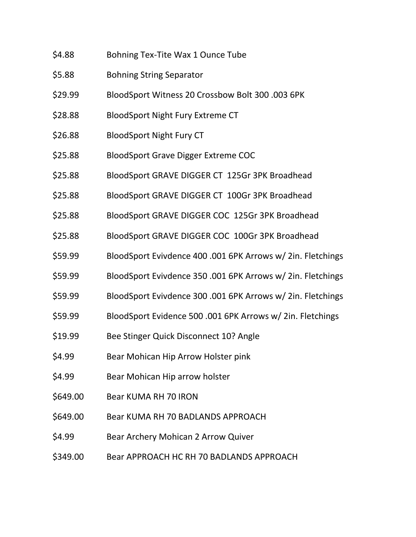- \$4.88 Bohning Tex-Tite Wax 1 Ounce Tube
- \$5.88 Bohning String Separator
- \$29.99 BloodSport Witness 20 Crossbow Bolt 300 .003 6PK
- \$28.88 BloodSport Night Fury Extreme CT
- \$26.88 BloodSport Night Fury CT
- \$25.88 BloodSport Grave Digger Extreme COC
- \$25.88 BloodSport GRAVE DIGGER CT 125Gr 3PK Broadhead
- \$25.88 BloodSport GRAVE DIGGER CT 100Gr 3PK Broadhead
- \$25.88 BloodSport GRAVE DIGGER COC 125Gr 3PK Broadhead
- \$25.88 BloodSport GRAVE DIGGER COC 100Gr 3PK Broadhead
- \$59.99 BloodSport Evivdence 400 .001 6PK Arrows w/ 2in. Fletchings
- \$59.99 BloodSport Evivdence 350 .001 6PK Arrows w/ 2in. Fletchings
- \$59.99 BloodSport Evivdence 300 .001 6PK Arrows w/ 2in. Fletchings
- \$59.99 BloodSport Evidence 500 .001 6PK Arrows w/ 2in. Fletchings
- \$19.99 Bee Stinger Quick Disconnect 10? Angle
- \$4.99 Bear Mohican Hip Arrow Holster pink
- \$4.99 Bear Mohican Hip arrow holster
- \$649.00 Bear KUMA RH 70 IRON
- \$649.00 Bear KUMA RH 70 BADLANDS APPROACH
- \$4.99 Bear Archery Mohican 2 Arrow Quiver
- \$349.00 Bear APPROACH HC RH 70 BADLANDS APPROACH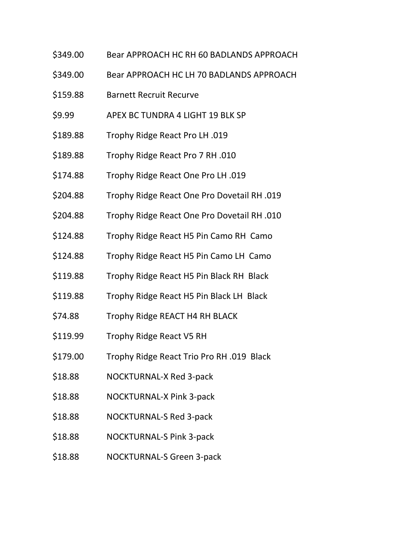- \$349.00 Bear APPROACH HC RH 60 BADLANDS APPROACH
- \$349.00 Bear APPROACH HC LH 70 BADLANDS APPROACH
- \$159.88 Barnett Recruit Recurve
- \$9.99 APEX BC TUNDRA 4 LIGHT 19 BLK SP
- \$189.88 Trophy Ridge React Pro LH .019
- \$189.88 Trophy Ridge React Pro 7 RH .010
- \$174.88 Trophy Ridge React One Pro LH .019
- \$204.88 Trophy Ridge React One Pro Dovetail RH .019
- \$204.88 Trophy Ridge React One Pro Dovetail RH .010
- \$124.88 Trophy Ridge React H5 Pin Camo RH Camo
- \$124.88 Trophy Ridge React H5 Pin Camo LH Camo
- \$119.88 Trophy Ridge React H5 Pin Black RH Black
- \$119.88 Trophy Ridge React H5 Pin Black LH Black
- \$74.88 Trophy Ridge REACT H4 RH BLACK
- \$119.99 Trophy Ridge React V5 RH
- \$179.00 Trophy Ridge React Trio Pro RH .019 Black
- \$18.88 NOCKTURNAL-X Red 3-pack
- \$18.88 NOCKTURNAL-X Pink 3-pack
- \$18.88 NOCKTURNAL-S Red 3-pack
- \$18.88 NOCKTURNAL-S Pink 3-pack
- \$18.88 NOCKTURNAL-S Green 3-pack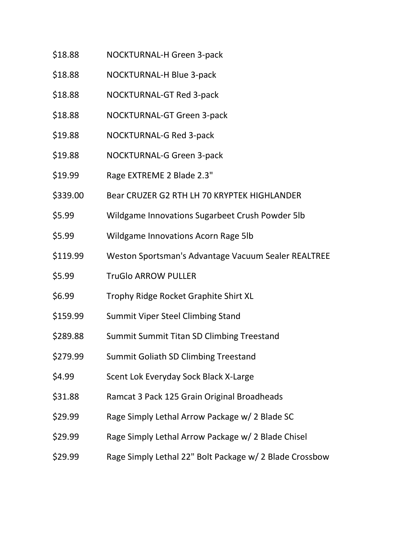- \$18.88 NOCKTURNAL-H Green 3-pack
- \$18.88 NOCKTURNAL-H Blue 3-pack
- \$18.88 NOCKTURNAL-GT Red 3-pack
- \$18.88 NOCKTURNAL-GT Green 3-pack
- \$19.88 NOCKTURNAL-G Red 3-pack
- \$19.88 NOCKTURNAL-G Green 3-pack
- \$19.99 Rage EXTREME 2 Blade 2.3"
- \$339.00 Bear CRUZER G2 RTH LH 70 KRYPTEK HIGHLANDER
- \$5.99 Wildgame Innovations Sugarbeet Crush Powder 5lb
- \$5.99 Wildgame Innovations Acorn Rage 5lb
- \$119.99 Weston Sportsman's Advantage Vacuum Sealer REALTREE
- \$5.99 TruGlo ARROW PULLER
- \$6.99 Trophy Ridge Rocket Graphite Shirt XL
- \$159.99 Summit Viper Steel Climbing Stand
- \$289.88 Summit Summit Titan SD Climbing Treestand
- \$279.99 Summit Goliath SD Climbing Treestand
- \$4.99 Scent Lok Everyday Sock Black X-Large
- \$31.88 Ramcat 3 Pack 125 Grain Original Broadheads
- \$29.99 Rage Simply Lethal Arrow Package w/ 2 Blade SC
- \$29.99 Rage Simply Lethal Arrow Package w/ 2 Blade Chisel
- \$29.99 Rage Simply Lethal 22" Bolt Package w/ 2 Blade Crossbow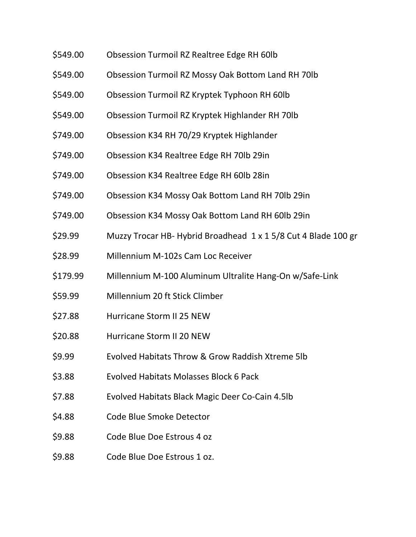- \$549.00 Obsession Turmoil RZ Realtree Edge RH 60lb
- \$549.00 Obsession Turmoil RZ Mossy Oak Bottom Land RH 70lb
- \$549.00 Obsession Turmoil RZ Kryptek Typhoon RH 60lb
- \$549.00 Obsession Turmoil RZ Kryptek Highlander RH 70lb
- \$749.00 Obsession K34 RH 70/29 Kryptek Highlander
- \$749.00 Obsession K34 Realtree Edge RH 70lb 29in
- \$749.00 Obsession K34 Realtree Edge RH 60lb 28in
- \$749.00 Obsession K34 Mossy Oak Bottom Land RH 70lb 29in
- \$749.00 Obsession K34 Mossy Oak Bottom Land RH 60lb 29in
- \$29.99 Muzzy Trocar HB- Hybrid Broadhead 1 x 1 5/8 Cut 4 Blade 100 gr
- \$28.99 Millennium M-102s Cam Loc Receiver
- \$179.99 Millennium M-100 Aluminum Ultralite Hang-On w/Safe-Link
- \$59.99 Millennium 20 ft Stick Climber
- \$27.88 Hurricane Storm II 25 NEW
- \$20.88 Hurricane Storm II 20 NEW
- \$9.99 Evolved Habitats Throw & Grow Raddish Xtreme 5lb
- \$3.88 Evolved Habitats Molasses Block 6 Pack
- \$7.88 Evolved Habitats Black Magic Deer Co-Cain 4.5lb
- \$4.88 Code Blue Smoke Detector
- \$9.88 Code Blue Doe Estrous 4 oz
- \$9.88 Code Blue Doe Estrous 1 oz.